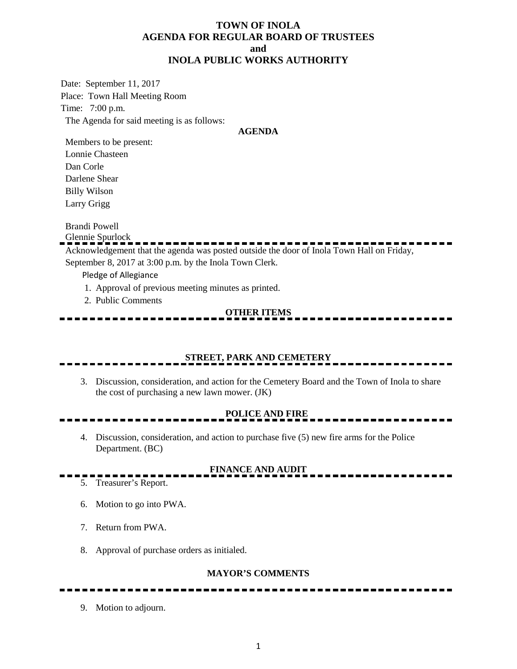## **TOWN OF INOLA AGENDA FOR REGULAR BOARD OF TRUSTEES and INOLA PUBLIC WORKS AUTHORITY**

Date: September 11, 2017 Place: Town Hall Meeting Room Time: 7:00 p.m. The Agenda for said meeting is as follows:

#### **AGENDA**

Members to be present: Lonnie Chasteen Dan Corle Darlene Shear Billy Wilson Larry Grigg

Brandi Powell

Glennie Spurlock

Acknowledgement that the agenda was posted outside the door of Inola Town Hall on Friday, September 8, 2017 at 3:00 p.m. by the Inola Town Clerk.

Pledge of Allegiance

- 1. Approval of previous meeting minutes as printed.
- 2. Public Comments

# **OTHER ITEMS**

## **STREET, PARK AND CEMETERY**

3. Discussion, consideration, and action for the Cemetery Board and the Town of Inola to share the cost of purchasing a new lawn mower. (JK)

# **POLICE AND FIRE**

4. Discussion, consideration, and action to purchase five (5) new fire arms for the Police Department. (BC)

# **FINANCE AND AUDIT**

- 5. Treasurer's Report.
	- 6. Motion to go into PWA.
	- 7. Return from PWA.
	- 8. Approval of purchase orders as initialed.

--------------

### **MAYOR'S COMMENTS**

--------------------

9. Motion to adjourn.